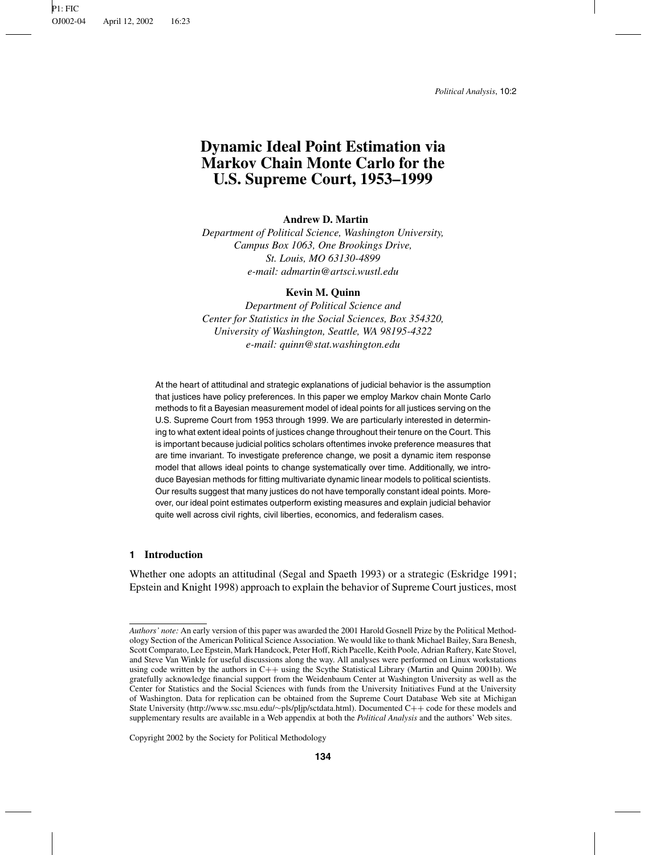# **Dynamic Ideal Point Estimation via Markov Chain Monte Carlo for the U.S. Supreme Court, 1953–1999**

## **Andrew D. Martin**

*Department of Political Science, Washington University, Campus Box 1063, One Brookings Drive, St. Louis, MO 63130-4899 e-mail: admartin@artsci.wustl.edu*

## **Kevin M. Quinn**

*Department of Political Science and Center for Statistics in the Social Sciences, Box 354320, University of Washington, Seattle, WA 98195-4322 e-mail: quinn@stat.washington.edu*

At the heart of attitudinal and strategic explanations of judicial behavior is the assumption that justices have policy preferences. In this paper we employ Markov chain Monte Carlo methods to fit a Bayesian measurement model of ideal points for all justices serving on the U.S. Supreme Court from 1953 through 1999. We are particularly interested in determining to what extent ideal points of justices change throughout their tenure on the Court. This is important because judicial politics scholars oftentimes invoke preference measures that are time invariant. To investigate preference change, we posit a dynamic item response model that allows ideal points to change systematically over time. Additionally, we introduce Bayesian methods for fitting multivariate dynamic linear models to political scientists. Our results suggest that many justices do not have temporally constant ideal points. Moreover, our ideal point estimates outperform existing measures and explain judicial behavior quite well across civil rights, civil liberties, economics, and federalism cases.

## **1 Introduction**

Whether one adopts an attitudinal (Segal and Spaeth 1993) or a strategic (Eskridge 1991; Epstein and Knight 1998) approach to explain the behavior of Supreme Court justices, most

Copyright 2002 by the Society for Political Methodology

*Authors' note:* An early version of this paper was awarded the 2001 Harold Gosnell Prize by the Political Methodology Section of the American Political Science Association. We would like to thank Michael Bailey, Sara Benesh, Scott Comparato, Lee Epstein, Mark Handcock, Peter Hoff, Rich Pacelle, Keith Poole, Adrian Raftery, Kate Stovel, and Steve Van Winkle for useful discussions along the way. All analyses were performed on Linux workstations using code written by the authors in C++ using the Scythe Statistical Library (Martin and Quinn 2001b). We gratefully acknowledge financial support from the Weidenbaum Center at Washington University as well as the Center for Statistics and the Social Sciences with funds from the University Initiatives Fund at the University of Washington. Data for replication can be obtained from the Supreme Court Database Web site at Michigan State University [\(http://www.ssc.msu.edu/](http://www.ssc.msu.edu/)∼pls/pljp/sctdata.html). Documented C++ code for these models and supplementary results are available in a Web appendix at both the *Political Analysis* and the authors' Web sites.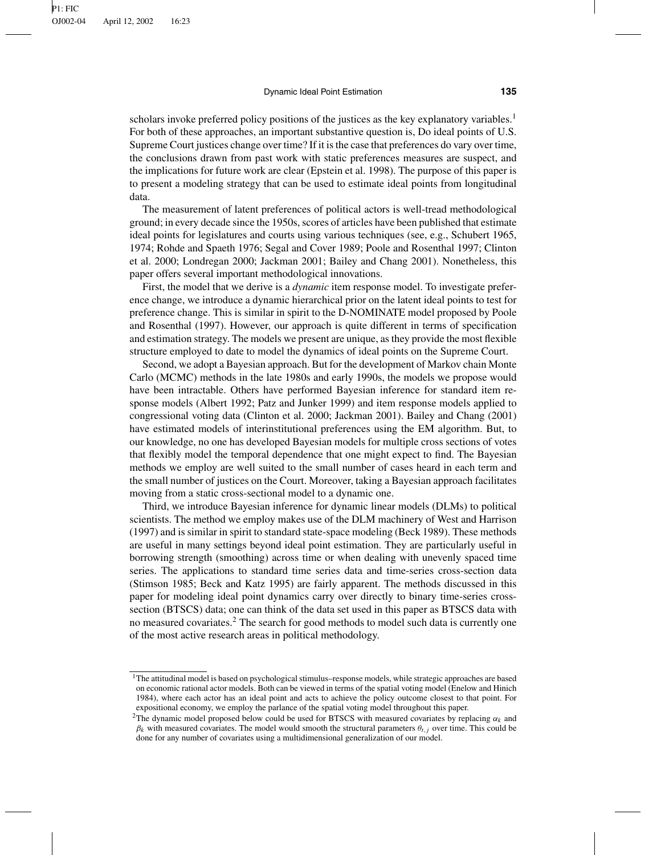scholars invoke preferred policy positions of the justices as the key explanatory variables.<sup>1</sup> For both of these approaches, an important substantive question is, Do ideal points of U.S. Supreme Court justices change over time? If it is the case that preferences do vary over time, the conclusions drawn from past work with static preferences measures are suspect, and the implications for future work are clear (Epstein et al. 1998). The purpose of this paper is to present a modeling strategy that can be used to estimate ideal points from longitudinal data.

The measurement of latent preferences of political actors is well-tread methodological ground; in every decade since the 1950s, scores of articles have been published that estimate ideal points for legislatures and courts using various techniques (see, e.g., Schubert 1965, 1974; Rohde and Spaeth 1976; Segal and Cover 1989; Poole and Rosenthal 1997; Clinton et al. 2000; Londregan 2000; Jackman 2001; Bailey and Chang 2001). Nonetheless, this paper offers several important methodological innovations.

First, the model that we derive is a *dynamic* item response model. To investigate preference change, we introduce a dynamic hierarchical prior on the latent ideal points to test for preference change. This is similar in spirit to the D-NOMINATE model proposed by Poole and Rosenthal (1997). However, our approach is quite different in terms of specification and estimation strategy. The models we present are unique, as they provide the most flexible structure employed to date to model the dynamics of ideal points on the Supreme Court.

Second, we adopt a Bayesian approach. But for the development of Markov chain Monte Carlo (MCMC) methods in the late 1980s and early 1990s, the models we propose would have been intractable. Others have performed Bayesian inference for standard item response models (Albert 1992; Patz and Junker 1999) and item response models applied to congressional voting data (Clinton et al. 2000; Jackman 2001). Bailey and Chang (2001) have estimated models of interinstitutional preferences using the EM algorithm. But, to our knowledge, no one has developed Bayesian models for multiple cross sections of votes that flexibly model the temporal dependence that one might expect to find. The Bayesian methods we employ are well suited to the small number of cases heard in each term and the small number of justices on the Court. Moreover, taking a Bayesian approach facilitates moving from a static cross-sectional model to a dynamic one.

Third, we introduce Bayesian inference for dynamic linear models (DLMs) to political scientists. The method we employ makes use of the DLM machinery of West and Harrison (1997) and is similar in spirit to standard state-space modeling (Beck 1989). These methods are useful in many settings beyond ideal point estimation. They are particularly useful in borrowing strength (smoothing) across time or when dealing with unevenly spaced time series. The applications to standard time series data and time-series cross-section data (Stimson 1985; Beck and Katz 1995) are fairly apparent. The methods discussed in this paper for modeling ideal point dynamics carry over directly to binary time-series crosssection (BTSCS) data; one can think of the data set used in this paper as BTSCS data with no measured covariates.<sup>2</sup> The search for good methods to model such data is currently one of the most active research areas in political methodology.

<sup>1</sup>The attitudinal model is based on psychological stimulus–response models, while strategic approaches are based on economic rational actor models. Both can be viewed in terms of the spatial voting model (Enelow and Hinich 1984), where each actor has an ideal point and acts to achieve the policy outcome closest to that point. For expositional economy, we employ the parlance of the spatial voting model throughout this paper.

<sup>&</sup>lt;sup>2</sup>The dynamic model proposed below could be used for BTSCS with measured covariates by replacing  $\alpha_k$  and  $β_k$  with measured covariates. The model would smooth the structural parameters  $θ_t$ , *j* over time. This could be done for any number of covariates using a multidimensional generalization of our model.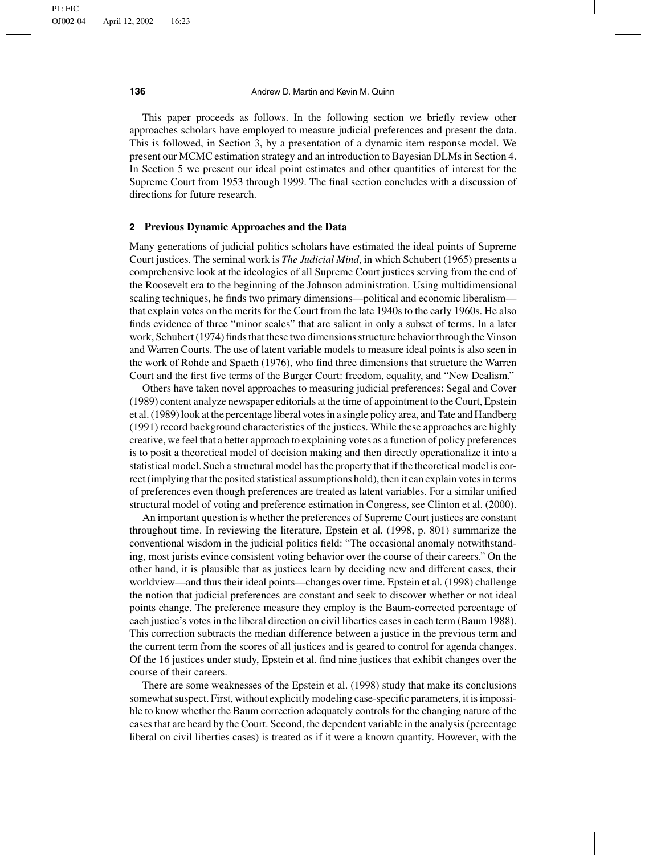This paper proceeds as follows. In the following section we briefly review other approaches scholars have employed to measure judicial preferences and present the data. This is followed, in Section 3, by a presentation of a dynamic item response model. We present our MCMC estimation strategy and an introduction to Bayesian DLMs in Section 4. In Section 5 we present our ideal point estimates and other quantities of interest for the Supreme Court from 1953 through 1999. The final section concludes with a discussion of directions for future research.

## **2 Previous Dynamic Approaches and the Data**

Many generations of judicial politics scholars have estimated the ideal points of Supreme Court justices. The seminal work is *The Judicial Mind*, in which Schubert (1965) presents a comprehensive look at the ideologies of all Supreme Court justices serving from the end of the Roosevelt era to the beginning of the Johnson administration. Using multidimensional scaling techniques, he finds two primary dimensions—political and economic liberalism that explain votes on the merits for the Court from the late 1940s to the early 1960s. He also finds evidence of three "minor scales" that are salient in only a subset of terms. In a later work, Schubert (1974) finds that these two dimensions structure behavior through the Vinson and Warren Courts. The use of latent variable models to measure ideal points is also seen in the work of Rohde and Spaeth (1976), who find three dimensions that structure the Warren Court and the first five terms of the Burger Court: freedom, equality, and "New Dealism."

Others have taken novel approaches to measuring judicial preferences: Segal and Cover (1989) content analyze newspaper editorials at the time of appointment to the Court, Epstein et al. (1989) look at the percentage liberal votes in a single policy area, and Tate and Handberg (1991) record background characteristics of the justices. While these approaches are highly creative, we feel that a better approach to explaining votes as a function of policy preferences is to posit a theoretical model of decision making and then directly operationalize it into a statistical model. Such a structural model has the property that if the theoretical model is correct (implying that the posited statistical assumptions hold), then it can explain votes in terms of preferences even though preferences are treated as latent variables. For a similar unified structural model of voting and preference estimation in Congress, see Clinton et al. (2000).

An important question is whether the preferences of Supreme Court justices are constant throughout time. In reviewing the literature, Epstein et al. (1998, p. 801) summarize the conventional wisdom in the judicial politics field: "The occasional anomaly notwithstanding, most jurists evince consistent voting behavior over the course of their careers." On the other hand, it is plausible that as justices learn by deciding new and different cases, their worldview—and thus their ideal points—changes over time. Epstein et al. (1998) challenge the notion that judicial preferences are constant and seek to discover whether or not ideal points change. The preference measure they employ is the Baum-corrected percentage of each justice's votes in the liberal direction on civil liberties cases in each term (Baum 1988). This correction subtracts the median difference between a justice in the previous term and the current term from the scores of all justices and is geared to control for agenda changes. Of the 16 justices under study, Epstein et al. find nine justices that exhibit changes over the course of their careers.

There are some weaknesses of the Epstein et al. (1998) study that make its conclusions somewhat suspect. First, without explicitly modeling case-specific parameters, it is impossible to know whether the Baum correction adequately controls for the changing nature of the cases that are heard by the Court. Second, the dependent variable in the analysis (percentage liberal on civil liberties cases) is treated as if it were a known quantity. However, with the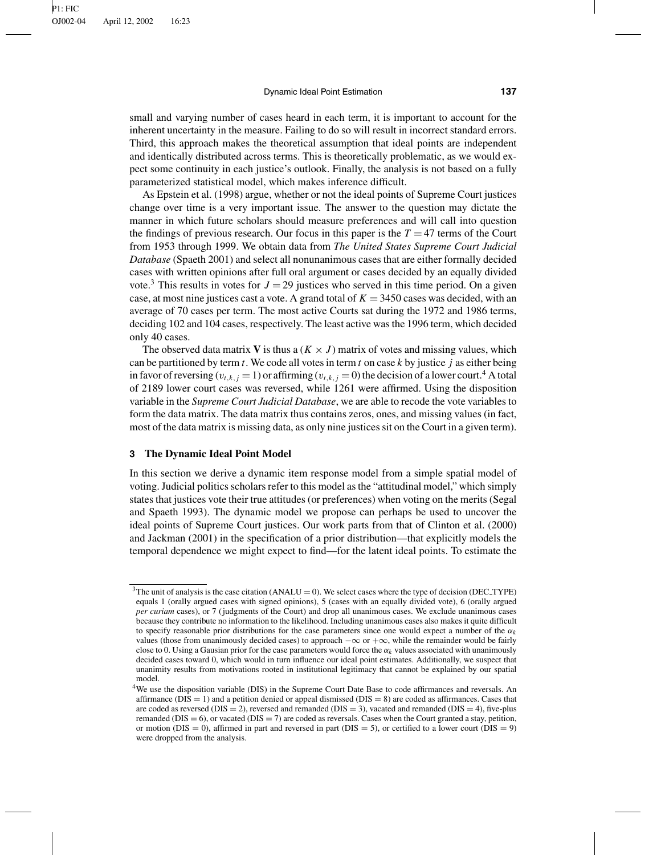small and varying number of cases heard in each term, it is important to account for the inherent uncertainty in the measure. Failing to do so will result in incorrect standard errors. Third, this approach makes the theoretical assumption that ideal points are independent and identically distributed across terms. This is theoretically problematic, as we would expect some continuity in each justice's outlook. Finally, the analysis is not based on a fully parameterized statistical model, which makes inference difficult.

As Epstein et al. (1998) argue, whether or not the ideal points of Supreme Court justices change over time is a very important issue. The answer to the question may dictate the manner in which future scholars should measure preferences and will call into question the findings of previous research. Our focus in this paper is the  $T = 47$  terms of the Court from 1953 through 1999. We obtain data from *The United States Supreme Court Judicial Database* (Spaeth 2001) and select all nonunanimous cases that are either formally decided cases with written opinions after full oral argument or cases decided by an equally divided vote.<sup>3</sup> This results in votes for  $J = 29$  justices who served in this time period. On a given case, at most nine justices cast a vote. A grand total of  $K = 3450$  cases was decided, with an average of 70 cases per term. The most active Courts sat during the 1972 and 1986 terms, deciding 102 and 104 cases, respectively. The least active was the 1996 term, which decided only 40 cases.

The observed data matrix **V** is thus a  $(K \times J)$  matrix of votes and missing values, which can be partitioned by term *t*. We code all votes in term *t* on case *k* by justice *j* as either being in favor of reversing  $(v_{t,k,j} = 1)$  or affirming  $(v_{t,k,j} = 0)$  the decision of a lower court.<sup>4</sup> A total of 2189 lower court cases was reversed, while 1261 were affirmed. Using the disposition variable in the *Supreme Court Judicial Database*, we are able to recode the vote variables to form the data matrix. The data matrix thus contains zeros, ones, and missing values (in fact, most of the data matrix is missing data, as only nine justices sit on the Court in a given term).

## **3 The Dynamic Ideal Point Model**

In this section we derive a dynamic item response model from a simple spatial model of voting. Judicial politics scholars refer to this model as the "attitudinal model," which simply states that justices vote their true attitudes (or preferences) when voting on the merits (Segal and Spaeth 1993). The dynamic model we propose can perhaps be used to uncover the ideal points of Supreme Court justices. Our work parts from that of Clinton et al. (2000) and Jackman (2001) in the specification of a prior distribution—that explicitly models the temporal dependence we might expect to find—for the latent ideal points. To estimate the

 $3$ The unit of analysis is the case citation (ANALU = 0). We select cases where the type of decision (DEC\_TYPE) equals 1 (orally argued cases with signed opinions), 5 (cases with an equally divided vote), 6 (orally argued *per curiam* cases), or 7 ( judgments of the Court) and drop all unanimous cases. We exclude unanimous cases because they contribute no information to the likelihood. Including unanimous cases also makes it quite difficult to specify reasonable prior distributions for the case parameters since one would expect a number of the  $\alpha_k$ values (those from unanimously decided cases) to approach  $-\infty$  or  $+\infty$ , while the remainder would be fairly close to 0. Using a Gausian prior for the case parameters would force the  $\alpha_k$  values associated with unanimously decided cases toward 0, which would in turn influence our ideal point estimates. Additionally, we suspect that unanimity results from motivations rooted in institutional legitimacy that cannot be explained by our spatial model.

<sup>4</sup>We use the disposition variable (DIS) in the Supreme Court Date Base to code affirmances and reversals. An affirmance  $(DIS = 1)$  and a petition denied or appeal dismissed  $(DIS = 8)$  are coded as affirmances. Cases that are coded as reversed ( $DIS = 2$ ), reversed and remanded ( $DIS = 3$ ), vacated and remanded ( $DIS = 4$ ), five-plus remanded ( $DIS = 6$ ), or vacated ( $DIS = 7$ ) are coded as reversals. Cases when the Court granted a stay, petition, or motion (DIS = 0), affirmed in part and reversed in part (DIS = 5), or certified to a lower court (DIS = 9) were dropped from the analysis.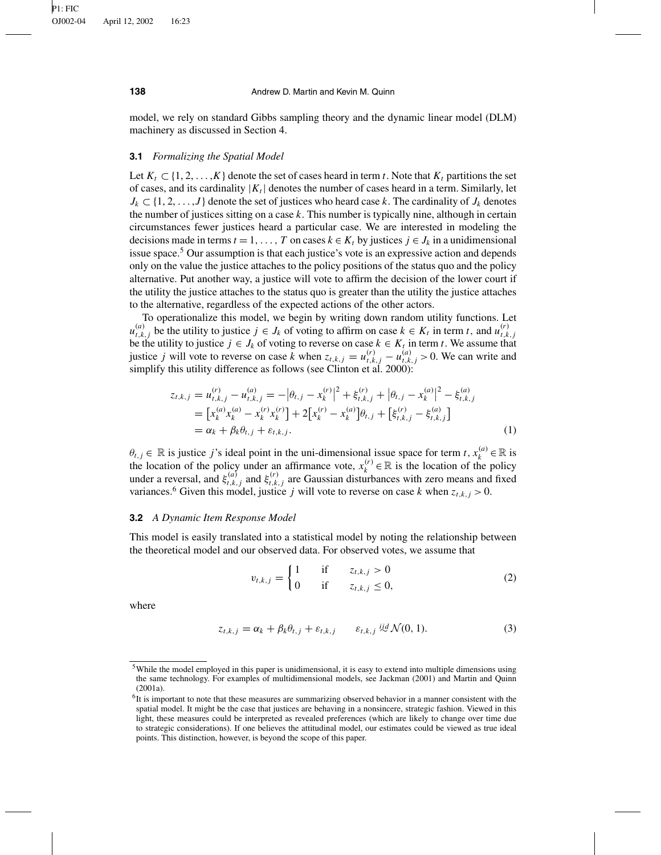model, we rely on standard Gibbs sampling theory and the dynamic linear model (DLM) machinery as discussed in Section 4.

## **3.1** *Formalizing the Spatial Model*

Let  $K_t \subset \{1, 2, ..., K\}$  denote the set of cases heard in term *t*. Note that  $K_t$  partitions the set of cases, and its cardinality  $|K_t|$  denotes the number of cases heard in a term. Similarly, let  $J_k \subset \{1, 2, \ldots, J\}$  denote the set of justices who heard case *k*. The cardinality of  $J_k$  denotes the number of justices sitting on a case *k*. This number is typically nine, although in certain circumstances fewer justices heard a particular case. We are interested in modeling the decisions made in terms  $t = 1, \ldots, T$  on cases  $k \in K_t$  by justices  $j \in J_k$  in a unidimensional issue space.<sup>5</sup> Our assumption is that each justice's vote is an expressive action and depends only on the value the justice attaches to the policy positions of the status quo and the policy alternative. Put another way, a justice will vote to affirm the decision of the lower court if the utility the justice attaches to the status quo is greater than the utility the justice attaches to the alternative, regardless of the expected actions of the other actors.

To operationalize this model, we begin by writing down random utility functions. Let  $u_{t,k,j}^{(a)}$  be the utility to justice  $j \in J_k$  of voting to affirm on case  $k \in K_t$  in term t, and  $u_{t,k,j}^{(r)}$  be the utility to justice  $j \in J_k$  of voting to reverse on case  $k \in K_t$  in term t. We assume that justice *j* will vote to reverse on case *k* when  $z_{t,k,j} = u_{t,k,j}^{(r)} - u_{t,k,j}^{(a)} > 0$ . We can write and simplify this utility difference as follows (see Clinton et al. 2000):

$$
z_{t,k,j} = u_{t,k,j}^{(r)} - u_{t,k,j}^{(a)} = -|\theta_{t,j} - x_k^{(r)}|^2 + \xi_{t,k,j}^{(r)} + |\theta_{t,j} - x_k^{(a)}|^2 - \xi_{t,k,j}^{(a)}
$$
  
= 
$$
[x_k^{(a)} x_k^{(a)} - x_k^{(r)} x_k^{(r)}] + 2[x_k^{(r)} - x_k^{(a)}]\theta_{t,j} + [\xi_{t,k,j}^{(r)} - \xi_{t,k,j}^{(a)}]
$$
  
= 
$$
\alpha_k + \beta_k \theta_{t,j} + \varepsilon_{t,k,j}.
$$
 (1)

 $\theta_{t,j} \in \mathbb{R}$  is justice *j*'s ideal point in the uni-dimensional issue space for term *t*,  $x_k^{(a)} \in \mathbb{R}$  is the location of the policy under an affirmance vote,  $x_k^{(r)} \in \mathbb{R}$  is the location of the policy under a reversal, and  $\xi_{t,k,j}^{(a)}$  and  $\xi_{t,k,j}^{(r)}$  are Gaussian disturbances with zero means and fixed variances.<sup>6</sup> Given this model, justice *j* will vote to reverse on case *k* when  $z_{t,k,j} > 0$ .

#### **3.2** *A Dynamic Item Response Model*

This model is easily translated into a statistical model by noting the relationship between the theoretical model and our observed data. For observed votes, we assume that

$$
v_{t,k,j} = \begin{cases} 1 & \text{if } z_{t,k,j} > 0 \\ 0 & \text{if } z_{t,k,j} \le 0, \end{cases}
$$
 (2)

where

$$
z_{t,k,j} = \alpha_k + \beta_k \theta_{t,j} + \varepsilon_{t,k,j} \qquad \varepsilon_{t,k,j} \, \ddot{\approx} \mathcal{N}(0,1). \tag{3}
$$

 $5$ While the model employed in this paper is unidimensional, it is easy to extend into multiple dimensions using the same technology. For examples of multidimensional models, see Jackman (2001) and Martin and Quinn (2001a).

<sup>6</sup>It is important to note that these measures are summarizing observed behavior in a manner consistent with the spatial model. It might be the case that justices are behaving in a nonsincere, strategic fashion. Viewed in this light, these measures could be interpreted as revealed preferences (which are likely to change over time due to strategic considerations). If one believes the attitudinal model, our estimates could be viewed as true ideal points. This distinction, however, is beyond the scope of this paper.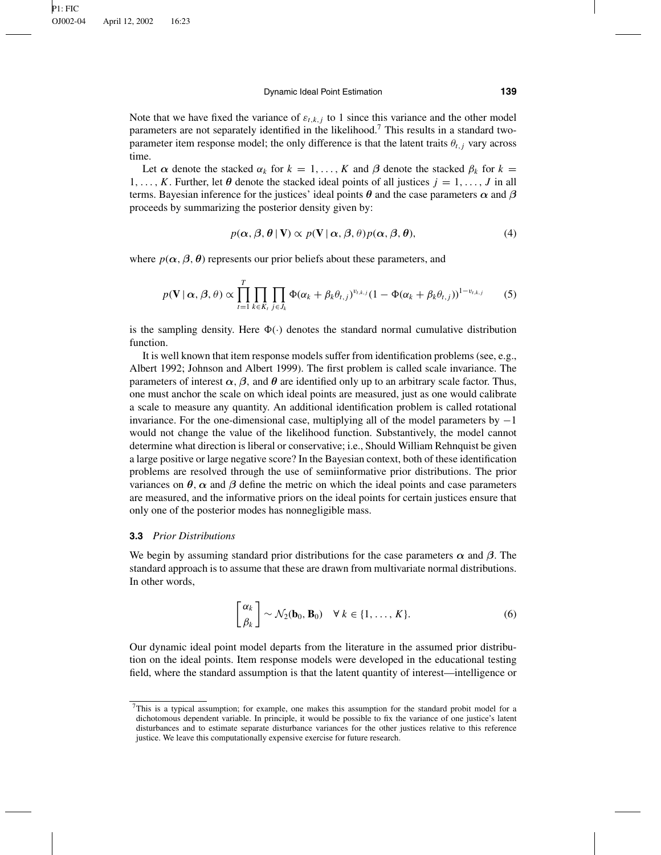Note that we have fixed the variance of  $\varepsilon_{t,k,j}$  to 1 since this variance and the other model parameters are not separately identified in the likelihood.<sup>7</sup> This results in a standard twoparameter item response model; the only difference is that the latent traits  $\theta_{t,j}$  vary across time.

Let  $\alpha$  denote the stacked  $\alpha_k$  for  $k = 1, \ldots, K$  and  $\beta$  denote the stacked  $\beta_k$  for  $k =$ 1,..., *K*. Further, let  $\theta$  denote the stacked ideal points of all justices  $j = 1, \ldots, J$  in all terms. Bayesian inference for the justices' ideal points *θ* and the case parameters *α* and *β* proceeds by summarizing the posterior density given by:

$$
p(\alpha, \beta, \theta | V) \propto p(V | \alpha, \beta, \theta) p(\alpha, \beta, \theta),
$$
\n(4)

where  $p(\alpha, \beta, \theta)$  represents our prior beliefs about these parameters, and

$$
p(\mathbf{V} \mid \boldsymbol{\alpha}, \boldsymbol{\beta}, \theta) \propto \prod_{t=1}^{T} \prod_{k \in K_t} \prod_{j \in J_k} \Phi(\alpha_k + \beta_k \theta_{t,j})^{v_{t,k,j}} (1 - \Phi(\alpha_k + \beta_k \theta_{t,j}))^{1 - v_{t,k,j}}
$$
(5)

is the sampling density. Here  $\Phi(\cdot)$  denotes the standard normal cumulative distribution function.

It is well known that item response models suffer from identification problems (see, e.g., Albert 1992; Johnson and Albert 1999). The first problem is called scale invariance. The parameters of interest  $\alpha$ ,  $\beta$ , and  $\theta$  are identified only up to an arbitrary scale factor. Thus, one must anchor the scale on which ideal points are measured, just as one would calibrate a scale to measure any quantity. An additional identification problem is called rotational invariance. For the one-dimensional case, multiplying all of the model parameters by  $-1$ would not change the value of the likelihood function. Substantively, the model cannot determine what direction is liberal or conservative; i.e., Should William Rehnquist be given a large positive or large negative score? In the Bayesian context, both of these identification problems are resolved through the use of semiinformative prior distributions. The prior variances on  $\theta$ ,  $\alpha$  and  $\beta$  define the metric on which the ideal points and case parameters are measured, and the informative priors on the ideal points for certain justices ensure that only one of the posterior modes has nonnegligible mass.

## **3.3** *Prior Distributions*

We begin by assuming standard prior distributions for the case parameters  $\alpha$  and  $\beta$ . The standard approach is to assume that these are drawn from multivariate normal distributions. In other words,

$$
\begin{bmatrix} \alpha_k \\ \beta_k \end{bmatrix} \sim \mathcal{N}_2(\mathbf{b}_0, \mathbf{B}_0) \quad \forall \ k \in \{1, \dots, K\}.
$$
 (6)

Our dynamic ideal point model departs from the literature in the assumed prior distribution on the ideal points. Item response models were developed in the educational testing field, where the standard assumption is that the latent quantity of interest—intelligence or

<sup>7</sup>This is a typical assumption; for example, one makes this assumption for the standard probit model for a dichotomous dependent variable. In principle, it would be possible to fix the variance of one justice's latent disturbances and to estimate separate disturbance variances for the other justices relative to this reference justice. We leave this computationally expensive exercise for future research.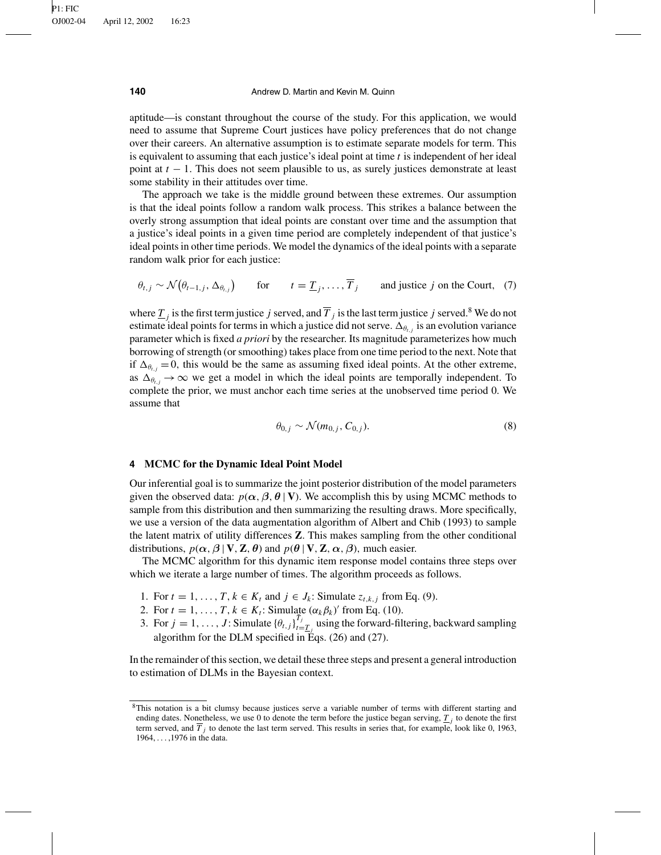aptitude—is constant throughout the course of the study. For this application, we would need to assume that Supreme Court justices have policy preferences that do not change over their careers. An alternative assumption is to estimate separate models for term. This is equivalent to assuming that each justice's ideal point at time *t* is independent of her ideal point at *t* − 1. This does not seem plausible to us, as surely justices demonstrate at least some stability in their attitudes over time.

The approach we take is the middle ground between these extremes. Our assumption is that the ideal points follow a random walk process. This strikes a balance between the overly strong assumption that ideal points are constant over time and the assumption that a justice's ideal points in a given time period are completely independent of that justice's ideal points in other time periods. We model the dynamics of the ideal points with a separate random walk prior for each justice:

$$
\theta_{t,j} \sim \mathcal{N}(\theta_{t-1,j}, \Delta_{\theta_{t,j}})
$$
 for  $t = \underline{T}_j, \dots, \overline{T}_j$  and justice *j* on the Court, (7)

where  $\frac{T}{i}$  is the first term justice *j* served, and  $\overline{T}_i$  is the last term justice *j* served.<sup>8</sup> We do not estimate ideal points for terms in which a justice did not serve.  $\Delta_{\theta_{t,i}}$  is an evolution variance parameter which is fixed *a priori* by the researcher. Its magnitude parameterizes how much borrowing of strength (or smoothing) takes place from one time period to the next. Note that if  $\Delta_{\theta_{t,i}} = 0$ , this would be the same as assuming fixed ideal points. At the other extreme, as  $\Delta_{\theta_{t,i}} \to \infty$  we get a model in which the ideal points are temporally independent. To complete the prior, we must anchor each time series at the unobserved time period 0. We assume that

$$
\theta_{0,j} \sim \mathcal{N}(m_{0,j}, C_{0,j}).
$$
\n(8)

## **4 MCMC for the Dynamic Ideal Point Model**

Our inferential goal is to summarize the joint posterior distribution of the model parameters given the observed data:  $p(\alpha, \beta, \theta | V)$ . We accomplish this by using MCMC methods to sample from this distribution and then summarizing the resulting draws. More specifically, we use a version of the data augmentation algorithm of Albert and Chib (1993) to sample the latent matrix of utility differences **Z**. This makes sampling from the other conditional distributions,  $p(\alpha, \beta | V, Z, \theta)$  and  $p(\theta | V, Z, \alpha, \beta)$ , much easier.

The MCMC algorithm for this dynamic item response model contains three steps over which we iterate a large number of times. The algorithm proceeds as follows.

- 1. For  $t = 1, \ldots, T, k \in K_t$  and  $j \in J_k$ : Simulate  $z_{t,k,j}$  from Eq. (9).
- 2. For  $t = 1, \ldots, T, k \in K_t$ : Simulate  $(\alpha_k \beta_k)'$  from Eq. (10).
- 3. For  $j = 1, ..., J$ : Simulate  $\{\theta_{t,j}\}_{t=\underline{T}_j}^{\overline{T}_j}$  using the forward-filtering, backward sampling algorithm for the DLM specified in Eqs. (26) and (27).

In the remainder of this section, we detail these three steps and present a general introduction to estimation of DLMs in the Bayesian context.

<sup>&</sup>lt;sup>8</sup>This notation is a bit clumsy because justices serve a variable number of terms with different starting and ending dates. Nonetheless, we use 0 to denote the term before the justice began serving,  $\underline{T}_j$  to denote the first term served, and  $\overline{T}_j$  to denote the last term served. This results in series that, for example, look like 0, 1963, 1964, ... ,1976 in the data.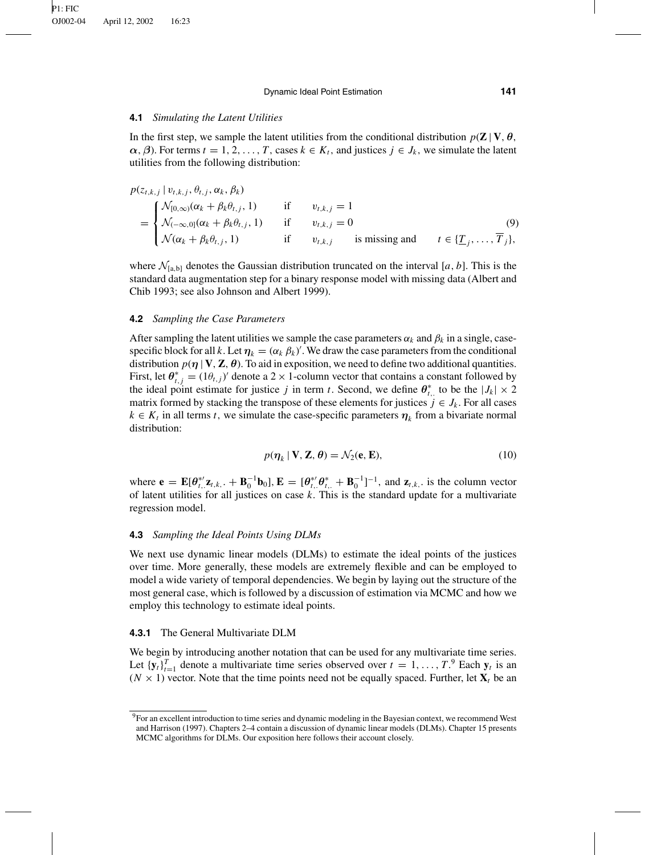#### **4.1** *Simulating the Latent Utilities*

In the first step, we sample the latent utilities from the conditional distribution  $p(\mathbf{Z} | \mathbf{V}, \boldsymbol{\theta})$ ,  $\alpha$ ,  $\beta$ ). For terms *t* = 1, 2, ..., *T*, cases  $k \in K_t$ , and justices  $j \in J_k$ , we simulate the latent utilities from the following distribution:

$$
p(z_{t,k,j} | v_{t,k,j}, \theta_{t,j}, \alpha_k, \beta_k)
$$
  
= 
$$
\begin{cases} \mathcal{N}_{[0,\infty)}(\alpha_k + \beta_k \theta_{t,j}, 1) & \text{if } v_{t,k,j} = 1 \\ \mathcal{N}_{(-\infty,0]}(\alpha_k + \beta_k \theta_{t,j}, 1) & \text{if } v_{t,k,j} = 0 \\ \mathcal{N}(\alpha_k + \beta_k \theta_{t,j}, 1) & \text{if } v_{t,k,j} \text{ is missing and } t \in \{\underline{T}_j, \dots, \overline{T}_j\}, \end{cases}
$$
 (9)

where  $\mathcal{N}_{[a,b]}$  denotes the Gaussian distribution truncated on the interval [ $a, b$ ]. This is the standard data augmentation step for a binary response model with missing data (Albert and Chib 1993; see also Johnson and Albert 1999).

## **4.2** *Sampling the Case Parameters*

After sampling the latent utilities we sample the case parameters  $\alpha_k$  and  $\beta_k$  in a single, casespecific block for all *k*. Let  $\eta_k = (\alpha_k \beta_k)'$ . We draw the case parameters from the conditional distribution  $p(\eta | V, Z, \theta)$ . To aid in exposition, we need to define two additional quantities. First, let  $\theta_{t,j}^* = (1\theta_{t,j})'$  denote a 2 × 1-column vector that contains a constant followed by the ideal point estimate for justice *j* in term *t*. Second, we define  $\theta_{t}^*$  to be the  $|J_k| \times 2$ matrix formed by stacking the transpose of these elements for justices  $j \in J_k$ . For all cases  $k \in K_t$  in all terms *t*, we simulate the case-specific parameters  $\eta_k$  from a bivariate normal distribution:

$$
p(\boldsymbol{\eta}_k \mid \mathbf{V}, \mathbf{Z}, \boldsymbol{\theta}) = \mathcal{N}_2(\mathbf{e}, \mathbf{E}), \tag{10}
$$

where  $\mathbf{e} = \mathbf{E}[\theta_{t_i}^{*'}\mathbf{z}_{t,k} + \mathbf{B}_0^{-1}\mathbf{b}_0]$ ,  $\mathbf{E} = [\theta_{t_i}^{*'}\theta_{t_i}^* + \mathbf{B}_0^{-1}]^{-1}$ , and  $\mathbf{z}_{t,k}$ , is the column vector of latent utilities for all justices on case *k*. This is the standard update for a multivariate regression model.

#### **4.3** *Sampling the Ideal Points Using DLMs*

We next use dynamic linear models (DLMs) to estimate the ideal points of the justices over time. More generally, these models are extremely flexible and can be employed to model a wide variety of temporal dependencies. We begin by laying out the structure of the most general case, which is followed by a discussion of estimation via MCMC and how we employ this technology to estimate ideal points.

## **4.3.1** The General Multivariate DLM

We begin by introducing another notation that can be used for any multivariate time series. Let  ${\bf y}_t$  $_{t=1}^T$  denote a multivariate time series observed over  $t = 1, \ldots, T$ .<sup>9</sup> Each  ${\bf y}_t$  is an  $(N \times 1)$  vector. Note that the time points need not be equally spaced. Further, let  $\mathbf{X}_t$  be an

<sup>9</sup>For an excellent introduction to time series and dynamic modeling in the Bayesian context, we recommend West and Harrison (1997). Chapters 2–4 contain a discussion of dynamic linear models (DLMs). Chapter 15 presents MCMC algorithms for DLMs. Our exposition here follows their account closely.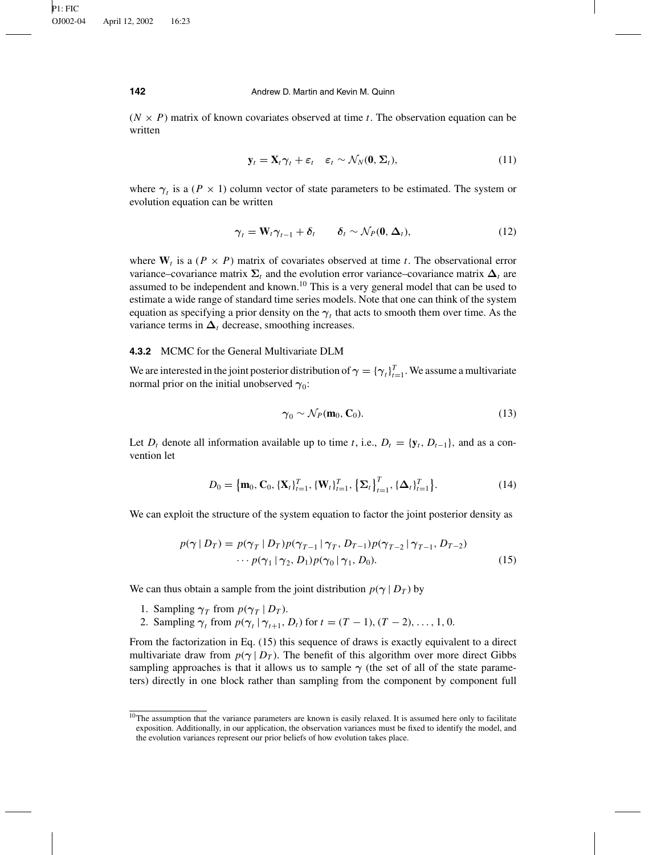$(N \times P)$  matrix of known covariates observed at time *t*. The observation equation can be written

$$
\mathbf{y}_t = \mathbf{X}_t \boldsymbol{\gamma}_t + \boldsymbol{\varepsilon}_t \quad \boldsymbol{\varepsilon}_t \sim \mathcal{N}_N(\mathbf{0}, \boldsymbol{\Sigma}_t), \tag{11}
$$

where  $\gamma$ <sup>*t*</sup> is a (*P* × 1) column vector of state parameters to be estimated. The system or evolution equation can be written

$$
\gamma_t = \mathbf{W}_t \gamma_{t-1} + \delta_t \qquad \delta_t \sim \mathcal{N}_P(\mathbf{0}, \Delta_t), \tag{12}
$$

where  $W_t$  is a ( $P \times P$ ) matrix of covariates observed at time *t*. The observational error variance–covariance matrix  $\Sigma_t$  and the evolution error variance–covariance matrix  $\Delta_t$  are assumed to be independent and known.<sup>10</sup> This is a very general model that can be used to estimate a wide range of standard time series models. Note that one can think of the system equation as specifying a prior density on the  $\gamma$ , that acts to smooth them over time. As the variance terms in  $\Delta_t$  decrease, smoothing increases.

## **4.3.2** MCMC for the General Multivariate DLM

We are interested in the joint posterior distribution of  $\gamma = {\gamma_t}_{t=1}^T$ . We assume a multivariate normal prior on the initial unobserved  $\gamma_0$ :

$$
\gamma_0 \sim \mathcal{N}_P(\mathbf{m}_0, \mathbf{C}_0). \tag{13}
$$

Let  $D_t$  denote all information available up to time *t*, i.e.,  $D_t = \{y_t, D_{t-1}\}\)$ , and as a convention let

$$
D_0 = \{ \mathbf{m}_0, \mathbf{C}_0, \{ \mathbf{X}_t \}_{t=1}^T, \{ \mathbf{W}_t \}_{t=1}^T, \{ \boldsymbol{\Sigma}_t \}_{t=1}^T, \{ \boldsymbol{\Delta}_t \}_{t=1}^T \}.
$$
 (14)

We can exploit the structure of the system equation to factor the joint posterior density as

$$
p(\gamma | D_T) = p(\gamma_T | D_T) p(\gamma_{T-1} | \gamma_T, D_{T-1}) p(\gamma_{T-2} | \gamma_{T-1}, D_{T-2})
$$
  
... 
$$
p(\gamma_1 | \gamma_2, D_1) p(\gamma_0 | \gamma_1, D_0).
$$
 (15)

We can thus obtain a sample from the joint distribution  $p(\gamma | D_T)$  by

- 1. Sampling  $\gamma_T$  from  $p(\gamma_T | D_T)$ .
- 2. Sampling  $\gamma_t$  from  $p(\gamma_t | \gamma_{t+1}, D_t)$  for  $t = (T 1), (T 2), \ldots, 1, 0$ .

From the factorization in Eq. (15) this sequence of draws is exactly equivalent to a direct multivariate draw from  $p(\gamma | D_T)$ . The benefit of this algorithm over more direct Gibbs sampling approaches is that it allows us to sample  $\gamma$  (the set of all of the state parameters) directly in one block rather than sampling from the component by component full

 $10$ The assumption that the variance parameters are known is easily relaxed. It is assumed here only to facilitate exposition. Additionally, in our application, the observation variances must be fixed to identify the model, and the evolution variances represent our prior beliefs of how evolution takes place.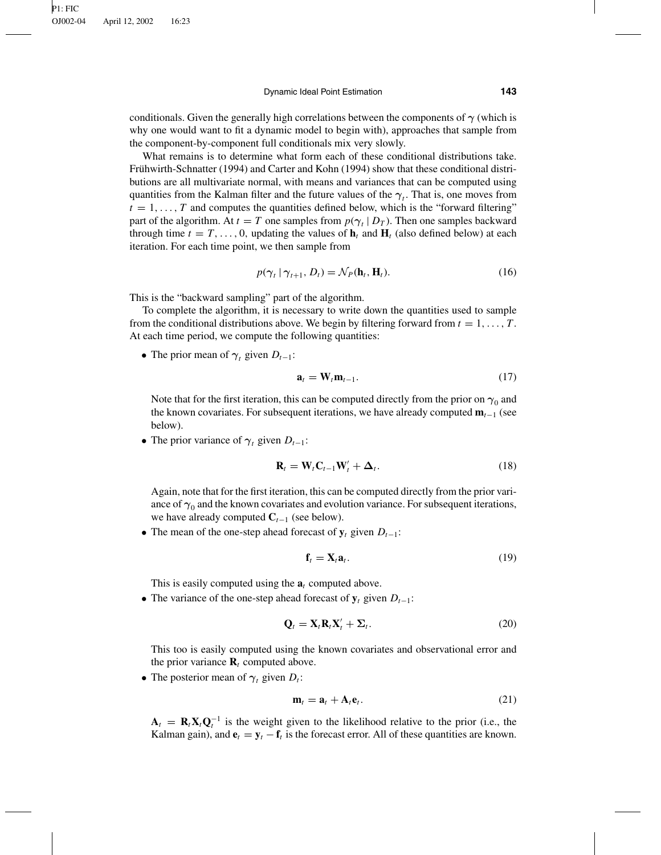conditionals. Given the generally high correlations between the components of *γ* (which is why one would want to fit a dynamic model to begin with), approaches that sample from the component-by-component full conditionals mix very slowly.

What remains is to determine what form each of these conditional distributions take. Frühwirth-Schnatter (1994) and Carter and Kohn (1994) show that these conditional distributions are all multivariate normal, with means and variances that can be computed using quantities from the Kalman filter and the future values of the  $\gamma_t$ . That is, one moves from  $t = 1, \ldots, T$  and computes the quantities defined below, which is the "forward filtering" part of the algorithm. At  $t = T$  one samples from  $p(\gamma_t | D_T)$ . Then one samples backward through time  $t = T, \ldots, 0$ , updating the values of  $\mathbf{h}_t$  and  $\mathbf{H}_t$  (also defined below) at each iteration. For each time point, we then sample from

$$
p(\gamma_t | \gamma_{t+1}, D_t) = \mathcal{N}_P(\mathbf{h}_t, \mathbf{H}_t). \tag{16}
$$

This is the "backward sampling" part of the algorithm.

To complete the algorithm, it is necessary to write down the quantities used to sample from the conditional distributions above. We begin by filtering forward from  $t = 1, \ldots, T$ . At each time period, we compute the following quantities:

• The prior mean of  $\gamma_t$  given  $D_{t-1}$ :

$$
\mathbf{a}_t = \mathbf{W}_t \mathbf{m}_{t-1}.\tag{17}
$$

Note that for the first iteration, this can be computed directly from the prior on  $\gamma_0$  and the known covariates. For subsequent iterations, we have already computed  $\mathbf{m}_{t-1}$  (see below).

• The prior variance of  $\gamma_t$  given  $D_{t-1}$ :

$$
\mathbf{R}_t = \mathbf{W}_t \mathbf{C}_{t-1} \mathbf{W}_t' + \boldsymbol{\Delta}_t. \tag{18}
$$

Again, note that for the first iteration, this can be computed directly from the prior variance of  $\gamma_0$  and the known covariates and evolution variance. For subsequent iterations, we have already computed  $C_{t-1}$  (see below).

• The mean of the one-step ahead forecast of  $y_t$  given  $D_{t-1}$ :

$$
\mathbf{f}_t = \mathbf{X}_t \mathbf{a}_t. \tag{19}
$$

This is easily computed using the  $a_t$  computed above.

• The variance of the one-step ahead forecast of  $y_t$  given  $D_{t-1}$ :

$$
\mathbf{Q}_t = \mathbf{X}_t \mathbf{R}_t \mathbf{X}_t' + \Sigma_t.
$$
 (20)

This too is easily computed using the known covariates and observational error and the prior variance  $\mathbf{R}_t$  computed above.

• The posterior mean of  $\gamma_t$  given  $D_t$ :

$$
\mathbf{m}_t = \mathbf{a}_t + \mathbf{A}_t \mathbf{e}_t. \tag{21}
$$

 $A_t = R_t X_t Q_t^{-1}$  is the weight given to the likelihood relative to the prior (i.e., the Kalman gain), and  $\mathbf{e}_t = \mathbf{y}_t - \mathbf{f}_t$  is the forecast error. All of these quantities are known.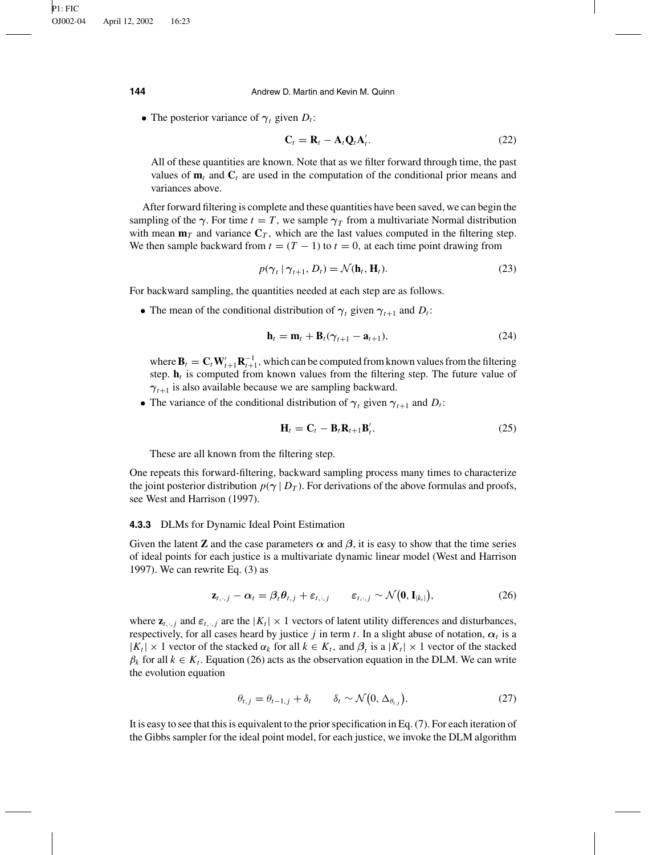• The posterior variance of  $\gamma_t$  given  $D_t$ :

$$
\mathbf{C}_t = \mathbf{R}_t - \mathbf{A}_t \mathbf{Q}_t \mathbf{A}'_t. \tag{22}
$$

All of these quantities are known. Note that as we filter forward through time, the past values of  $\mathbf{m}_t$  and  $\mathbf{C}_t$  are used in the computation of the conditional prior means and variances above.

After forward filtering is complete and these quantities have been saved, we can begin the sampling of the  $\gamma$ . For time  $t = T$ , we sample  $\gamma_T$  from a multivariate Normal distribution with mean  $\mathbf{m}_T$  and variance  $\mathbf{C}_T$ , which are the last values computed in the filtering step. We then sample backward from  $t = (T - 1)$  to  $t = 0$ , at each time point drawing from

$$
p(\gamma_t | \gamma_{t+1}, D_t) = \mathcal{N}(\mathbf{h}_t, \mathbf{H}_t). \tag{23}
$$

For backward sampling, the quantities needed at each step are as follows.

• The mean of the conditional distribution of  $\gamma_t$  given  $\gamma_{t+1}$  and  $D_t$ :

$$
\mathbf{h}_t = \mathbf{m}_t + \mathbf{B}_t(\boldsymbol{\gamma}_{t+1} - \mathbf{a}_{t+1}),
$$
\n(24)

where  $\mathbf{B}_t = \mathbf{C}_t \mathbf{W}'_{t+1} \mathbf{R}_{t+1}^{-1}$ , which can be computed from known values from the filtering step.  **is computed from known values from the filtering step. The future value of**  $\gamma_{t+1}$  is also available because we are sampling backward.

• The variance of the conditional distribution of  $\gamma_t$  given  $\gamma_{t+1}$  and  $D_t$ :

$$
\mathbf{H}_t = \mathbf{C}_t - \mathbf{B}_t \mathbf{R}_{t+1} \mathbf{B}'_t. \tag{25}
$$

These are all known from the filtering step.

One repeats this forward-filtering, backward sampling process many times to characterize the joint posterior distribution  $p(\gamma | D_T)$ . For derivations of the above formulas and proofs, see West and Harrison (1997).

## **4.3.3** DLMs for Dynamic Ideal Point Estimation

Given the latent **Z** and the case parameters  $\alpha$  and  $\beta$ , it is easy to show that the time series of ideal points for each justice is a multivariate dynamic linear model (West and Harrison 1997). We can rewrite Eq. (3) as

$$
\mathbf{z}_{t,\cdot,j} - \boldsymbol{\alpha}_t = \boldsymbol{\beta}_t \boldsymbol{\theta}_{t,j} + \boldsymbol{\varepsilon}_{t,\cdot,j} \qquad \boldsymbol{\varepsilon}_{t,\cdot,j} \sim \mathcal{N}\big(\mathbf{0}, \mathbf{I}_{|k_t|}\big), \tag{26}
$$

where  $\mathbf{z}_{t,\cdot,j}$  and  $\varepsilon_{t,\cdot,j}$  are the  $|K_t| \times 1$  vectors of latent utility differences and disturbances, respectively, for all cases heard by justice *j* in term *t*. In a slight abuse of notation,  $\alpha_t$  is a  $|K_t| \times 1$  vector of the stacked  $\alpha_k$  for all  $k \in K_t$ , and  $\beta_t$  is a  $|K_t| \times 1$  vector of the stacked  $\beta_k$  for all  $k \in K_t$ . Equation (26) acts as the observation equation in the DLM. We can write the evolution equation

$$
\theta_{t,j} = \theta_{t-1,j} + \delta_t \qquad \delta_t \sim \mathcal{N}\big(0, \Delta_{\theta_{t,j}}\big). \tag{27}
$$

It is easy to see that this is equivalent to the prior specification in Eq. (7). For each iteration of the Gibbs sampler for the ideal point model, for each justice, we invoke the DLM algorithm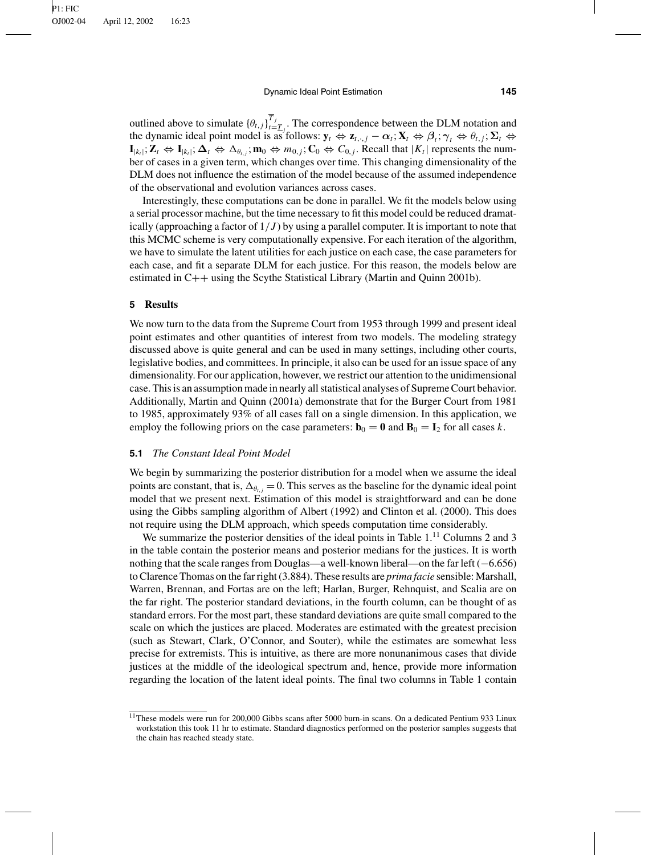outlined above to simulate  $\{\theta_{t,j}\}_{t=1}^{T_j}$  $t = T_j$ . The correspondence between the DLM notation and the dynamic ideal point model is as follows:  $\mathbf{y}_t \leftrightarrow \mathbf{z}_{t, \cdot, j} - \alpha_t; \mathbf{X}_t \leftrightarrow \beta_t; \gamma_t \leftrightarrow \theta_{t, j}; \Sigma_t \leftrightarrow \mathbf{z}_{t, j}$  $\mathbf{I}_{k_t}$ ;  $\mathbf{Z}_t \Leftrightarrow \mathbf{I}_{k_t}$ ;  $\Delta_t \Leftrightarrow \Delta_{\theta_{t,i}}$ ;  $\mathbf{m}_0 \Leftrightarrow m_{0,j}$ ;  $\mathbf{C}_0 \Leftrightarrow C_{0,j}$ . Recall that  $|K_t|$  represents the number of cases in a given term, which changes over time. This changing dimensionality of the DLM does not influence the estimation of the model because of the assumed independence of the observational and evolution variances across cases.

Interestingly, these computations can be done in parallel. We fit the models below using a serial processor machine, but the time necessary to fit this model could be reduced dramatically (approaching a factor of  $1/J$ ) by using a parallel computer. It is important to note that this MCMC scheme is very computationally expensive. For each iteration of the algorithm, we have to simulate the latent utilities for each justice on each case, the case parameters for each case, and fit a separate DLM for each justice. For this reason, the models below are estimated in C++ using the Scythe Statistical Library (Martin and Quinn 2001b).

## **5 Results**

We now turn to the data from the Supreme Court from 1953 through 1999 and present ideal point estimates and other quantities of interest from two models. The modeling strategy discussed above is quite general and can be used in many settings, including other courts, legislative bodies, and committees. In principle, it also can be used for an issue space of any dimensionality. For our application, however, we restrict our attention to the unidimensional case. This is an assumption made in nearly all statistical analyses of Supreme Court behavior. Additionally, Martin and Quinn (2001a) demonstrate that for the Burger Court from 1981 to 1985, approximately 93% of all cases fall on a single dimension. In this application, we employ the following priors on the case parameters:  $\mathbf{b}_0 = \mathbf{0}$  and  $\mathbf{B}_0 = \mathbf{I}_2$  for all cases *k*.

## **5.1** *The Constant Ideal Point Model*

We begin by summarizing the posterior distribution for a model when we assume the ideal points are constant, that is,  $\Delta_{\theta_i} = 0$ . This serves as the baseline for the dynamic ideal point model that we present next. Estimation of this model is straightforward and can be done using the Gibbs sampling algorithm of Albert (1992) and Clinton et al. (2000). This does not require using the DLM approach, which speeds computation time considerably.

We summarize the posterior densities of the ideal points in Table 1.<sup>11</sup> Columns 2 and 3 in the table contain the posterior means and posterior medians for the justices. It is worth nothing that the scale ranges from Douglas—a well-known liberal—on the far left (−6.656) to Clarence Thomas on the far right (3.884). These results are *prima facie* sensible: Marshall, Warren, Brennan, and Fortas are on the left; Harlan, Burger, Rehnquist, and Scalia are on the far right. The posterior standard deviations, in the fourth column, can be thought of as standard errors. For the most part, these standard deviations are quite small compared to the scale on which the justices are placed. Moderates are estimated with the greatest precision (such as Stewart, Clark, O'Connor, and Souter), while the estimates are somewhat less precise for extremists. This is intuitive, as there are more nonunanimous cases that divide justices at the middle of the ideological spectrum and, hence, provide more information regarding the location of the latent ideal points. The final two columns in Table 1 contain

<sup>&</sup>lt;sup>11</sup>These models were run for 200,000 Gibbs scans after 5000 burn-in scans. On a dedicated Pentium 933 Linux workstation this took 11 hr to estimate. Standard diagnostics performed on the posterior samples suggests that the chain has reached steady state.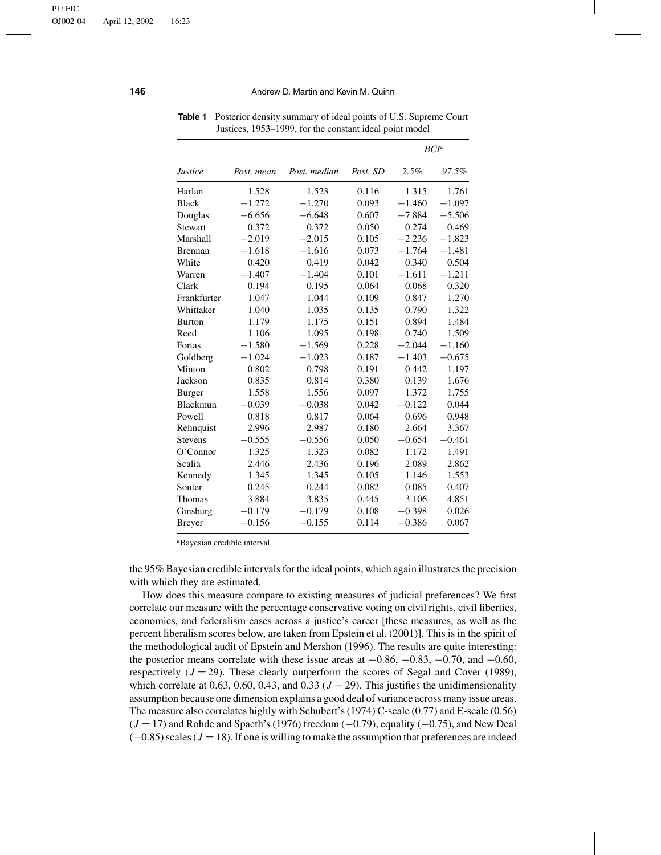|                |            |              |          | BCP      |          |
|----------------|------------|--------------|----------|----------|----------|
| <b>Justice</b> | Post, mean | Post, median | Post. SD | 2.5%     | 97.5%    |
| Harlan         | 1.528      | 1.523        | 0.116    | 1.315    | 1.761    |
| <b>Black</b>   | $-1.272$   | $-1.270$     | 0.093    | $-1.460$ | $-1.097$ |
| Douglas        | $-6.656$   | $-6.648$     | 0.607    | $-7.884$ | $-5.506$ |
| Stewart        | 0.372      | 0.372        | 0.050    | 0.274    | 0.469    |
| Marshall       | $-2.019$   | $-2.015$     | 0.105    | $-2.236$ | $-1.823$ |
| <b>Brennan</b> | $-1.618$   | $-1.616$     | 0.073    | $-1.764$ | $-1.481$ |
| White          | 0.420      | 0.419        | 0.042    | 0.340    | 0.504    |
| Warren         | $-1.407$   | $-1.404$     | 0.101    | $-1.611$ | $-1.211$ |
| Clark          | 0.194      | 0.195        | 0.064    | 0.068    | 0.320    |
| Frankfurter    | 1.047      | 1.044        | 0.109    | 0.847    | 1.270    |
| Whittaker      | 1.040      | 1.035        | 0.135    | 0.790    | 1.322    |
| <b>Burton</b>  | 1.179      | 1.175        | 0.151    | 0.894    | 1.484    |
| Reed           | 1.106      | 1.095        | 0.198    | 0.740    | 1.509    |
| Fortas         | $-1.580$   | $-1.569$     | 0.228    | $-2.044$ | $-1.160$ |
| Goldberg       | $-1.024$   | $-1.023$     | 0.187    | $-1.403$ | $-0.675$ |
| Minton         | 0.802      | 0.798        | 0.191    | 0.442    | 1.197    |
| Jackson        | 0.835      | 0.814        | 0.380    | 0.139    | 1.676    |
| <b>Burger</b>  | 1.558      | 1.556        | 0.097    | 1.372    | 1.755    |
| Blackmun       | $-0.039$   | $-0.038$     | 0.042    | $-0.122$ | 0.044    |
| Powell         | 0.818      | 0.817        | 0.064    | 0.696    | 0.948    |
| Rehnquist      | 2.996      | 2.987        | 0.180    | 2.664    | 3.367    |
| <b>Stevens</b> | $-0.555$   | $-0.556$     | 0.050    | $-0.654$ | $-0.461$ |
| O'Connect      | 1.325      | 1.323        | 0.082    | 1.172    | 1.491    |
| Scalia         | 2.446      | 2.436        | 0.196    | 2.089    | 2.862    |
| Kennedy        | 1.345      | 1.345        | 0.105    | 1.146    | 1.553    |
| Souter         | 0.245      | 0.244        | 0.082    | 0.085    | 0.407    |
| Thomas         | 3.884      | 3.835        | 0.445    | 3.106    | 4.851    |
| Ginsburg       | $-0.179$   | $-0.179$     | 0.108    | $-0.398$ | 0.026    |
| <b>Brever</b>  | $-0.156$   | $-0.155$     | 0.114    | $-0.386$ | 0.067    |

**Table 1** Posterior density summary of ideal points of U.S. Supreme Court Justices, 1953–1999, for the constant ideal point model

aBayesian credible interval.

the 95% Bayesian credible intervals for the ideal points, which again illustrates the precision with which they are estimated.

How does this measure compare to existing measures of judicial preferences? We first correlate our measure with the percentage conservative voting on civil rights, civil liberties, economics, and federalism cases across a justice's career [these measures, as well as the percent liberalism scores below, are taken from Epstein et al. (2001)]. This is in the spirit of the methodological audit of Epstein and Mershon (1996). The results are quite interesting: the posterior means correlate with these issue areas at  $-0.86$ ,  $-0.83$ ,  $-0.70$ , and  $-0.60$ , respectively  $(J = 29)$ . These clearly outperform the scores of Segal and Cover (1989), which correlate at 0.63, 0.60, 0.43, and 0.33 ( $J = 29$ ). This justifies the unidimensionality assumption because one dimension explains a good deal of variance across many issue areas. The measure also correlates highly with Schubert's (1974) C-scale (0.77) and E-scale (0.56) (*J* = 17) and Rohde and Spaeth's (1976) freedom (−0.79), equality (−0.75), and New Deal (−0.85) scales (*J* = 18). If one is willing to make the assumption that preferences are indeed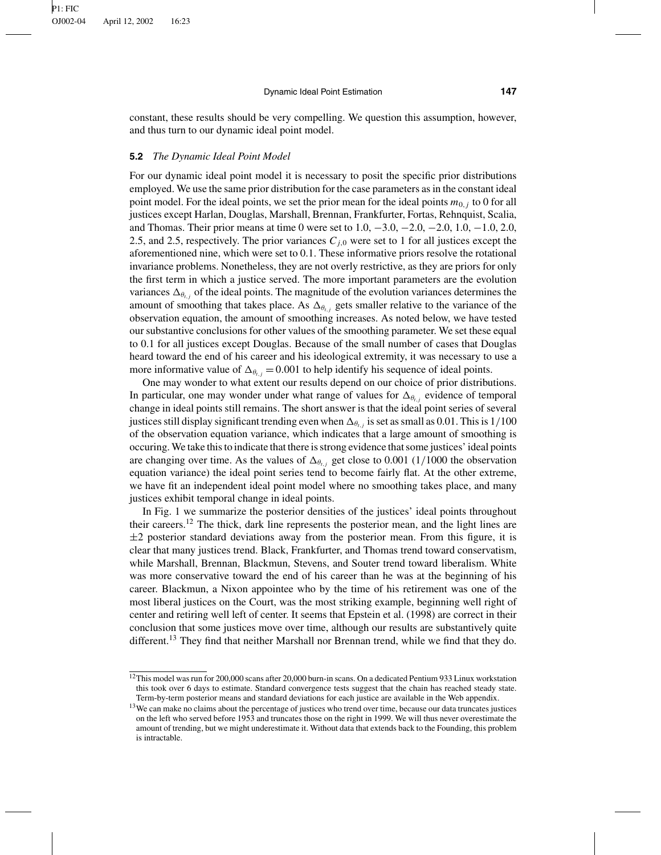constant, these results should be very compelling. We question this assumption, however, and thus turn to our dynamic ideal point model.

## **5.2** *The Dynamic Ideal Point Model*

For our dynamic ideal point model it is necessary to posit the specific prior distributions employed. We use the same prior distribution for the case parameters as in the constant ideal point model. For the ideal points, we set the prior mean for the ideal points  $m_{0,i}$  to 0 for all justices except Harlan, Douglas, Marshall, Brennan, Frankfurter, Fortas, Rehnquist, Scalia, and Thomas. Their prior means at time 0 were set to  $1.0, -3.0, -2.0, -2.0, 1.0, -1.0, 2.0,$ 2.5, and 2.5, respectively. The prior variances  $C_{i,0}$  were set to 1 for all justices except the aforementioned nine, which were set to 0.1. These informative priors resolve the rotational invariance problems. Nonetheless, they are not overly restrictive, as they are priors for only the first term in which a justice served. The more important parameters are the evolution variances  $\Delta_{\theta_{t,i}}$  of the ideal points. The magnitude of the evolution variances determines the amount of smoothing that takes place. As  $\Delta_{\theta_{t,i}}$  gets smaller relative to the variance of the observation equation, the amount of smoothing increases. As noted below, we have tested our substantive conclusions for other values of the smoothing parameter. We set these equal to 0.1 for all justices except Douglas. Because of the small number of cases that Douglas heard toward the end of his career and his ideological extremity, it was necessary to use a more informative value of  $\Delta_{\theta_{t,i}} = 0.001$  to help identify his sequence of ideal points.

One may wonder to what extent our results depend on our choice of prior distributions. In particular, one may wonder under what range of values for  $\Delta_{\theta_{t,j}}$  evidence of temporal change in ideal points still remains. The short answer is that the ideal point series of several justices still display significant trending even when  $\Delta_{\theta_{t,i}}$  is set as small as 0.01. This is 1/100 of the observation equation variance, which indicates that a large amount of smoothing is occuring. We take this to indicate that there is strong evidence that some justices'ideal points are changing over time. As the values of  $\Delta_{\theta_i}$  get close to 0.001 (1/1000 the observation equation variance) the ideal point series tend to become fairly flat. At the other extreme, we have fit an independent ideal point model where no smoothing takes place, and many justices exhibit temporal change in ideal points.

In Fig. 1 we summarize the posterior densities of the justices' ideal points throughout their careers.12 The thick, dark line represents the posterior mean, and the light lines are  $\pm$ 2 posterior standard deviations away from the posterior mean. From this figure, it is clear that many justices trend. Black, Frankfurter, and Thomas trend toward conservatism, while Marshall, Brennan, Blackmun, Stevens, and Souter trend toward liberalism. White was more conservative toward the end of his career than he was at the beginning of his career. Blackmun, a Nixon appointee who by the time of his retirement was one of the most liberal justices on the Court, was the most striking example, beginning well right of center and retiring well left of center. It seems that Epstein et al. (1998) are correct in their conclusion that some justices move over time, although our results are substantively quite different.<sup>13</sup> They find that neither Marshall nor Brennan trend, while we find that they do.

<sup>&</sup>lt;sup>12</sup>This model was run for 200,000 scans after 20,000 burn-in scans. On a dedicated Pentium 933 Linux workstation this took over 6 days to estimate. Standard convergence tests suggest that the chain has reached steady state. Term-by-term posterior means and standard deviations for each justice are available in the Web appendix.

<sup>&</sup>lt;sup>13</sup>We can make no claims about the percentage of justices who trend over time, because our data truncates justices on the left who served before 1953 and truncates those on the right in 1999. We will thus never overestimate the amount of trending, but we might underestimate it. Without data that extends back to the Founding, this problem is intractable.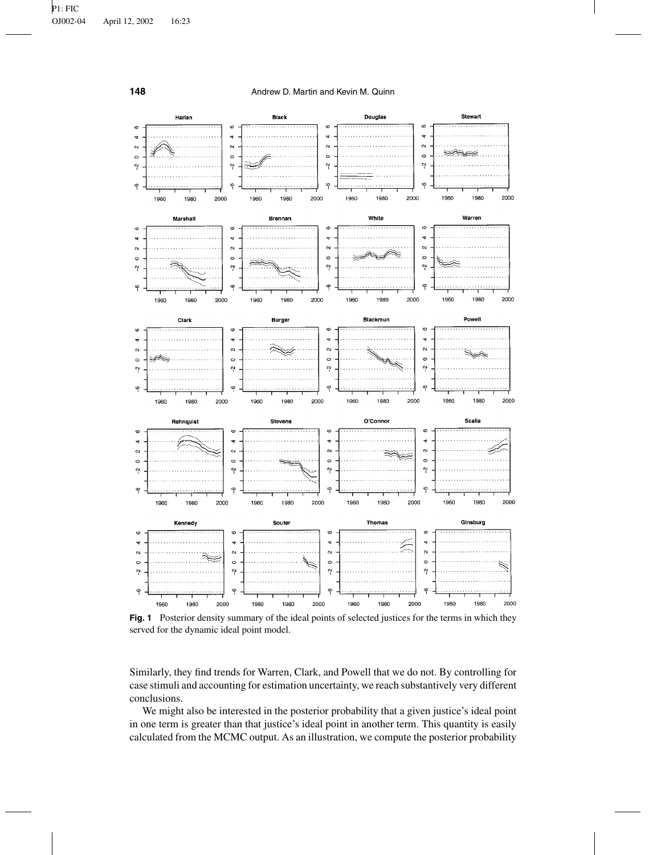

**Fig. 1** Posterior density summary of the ideal points of selected justices for the terms in which they served for the dynamic ideal point model.

Similarly, they find trends for Warren, Clark, and Powell that we do not. By controlling for case stimuli and accounting for estimation uncertainty, we reach substantively very different conclusions.

We might also be interested in the posterior probability that a given justice's ideal point in one term is greater than that justice's ideal point in another term. This quantity is easily calculated from the MCMC output. As an illustration, we compute the posterior probability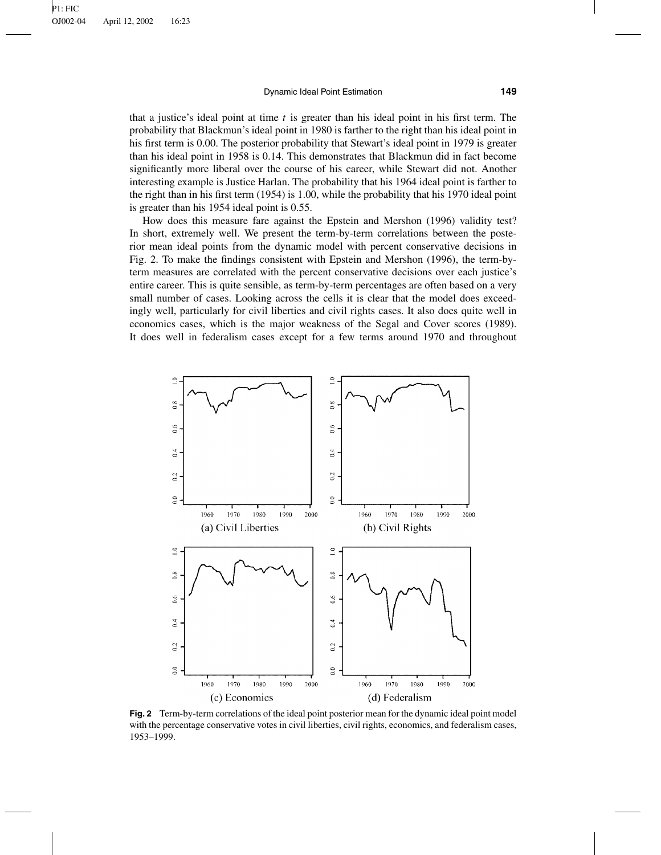that a justice's ideal point at time *t* is greater than his ideal point in his first term. The probability that Blackmun's ideal point in 1980 is farther to the right than his ideal point in his first term is 0.00. The posterior probability that Stewart's ideal point in 1979 is greater than his ideal point in 1958 is 0.14. This demonstrates that Blackmun did in fact become significantly more liberal over the course of his career, while Stewart did not. Another interesting example is Justice Harlan. The probability that his 1964 ideal point is farther to the right than in his first term (1954) is 1.00, while the probability that his 1970 ideal point is greater than his 1954 ideal point is 0.55.

How does this measure fare against the Epstein and Mershon (1996) validity test? In short, extremely well. We present the term-by-term correlations between the posterior mean ideal points from the dynamic model with percent conservative decisions in Fig. 2. To make the findings consistent with Epstein and Mershon (1996), the term-byterm measures are correlated with the percent conservative decisions over each justice's entire career. This is quite sensible, as term-by-term percentages are often based on a very small number of cases. Looking across the cells it is clear that the model does exceedingly well, particularly for civil liberties and civil rights cases. It also does quite well in economics cases, which is the major weakness of the Segal and Cover scores (1989). It does well in federalism cases except for a few terms around 1970 and throughout



**Fig. 2** Term-by-term correlations of the ideal point posterior mean for the dynamic ideal point model with the percentage conservative votes in civil liberties, civil rights, economics, and federalism cases, 1953–1999.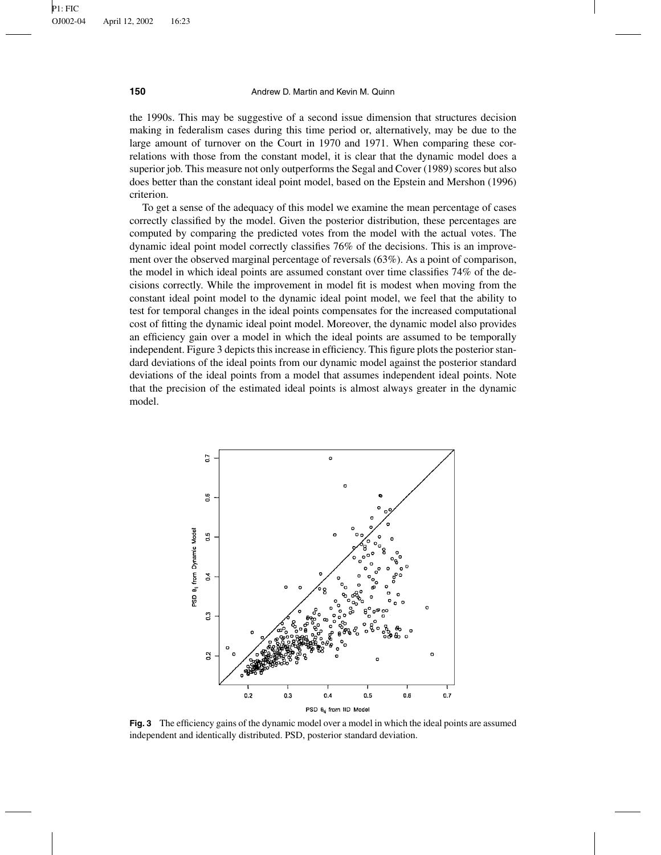the 1990s. This may be suggestive of a second issue dimension that structures decision making in federalism cases during this time period or, alternatively, may be due to the large amount of turnover on the Court in 1970 and 1971. When comparing these correlations with those from the constant model, it is clear that the dynamic model does a superior job. This measure not only outperforms the Segal and Cover (1989) scores but also does better than the constant ideal point model, based on the Epstein and Mershon (1996) criterion.

To get a sense of the adequacy of this model we examine the mean percentage of cases correctly classified by the model. Given the posterior distribution, these percentages are computed by comparing the predicted votes from the model with the actual votes. The dynamic ideal point model correctly classifies 76% of the decisions. This is an improvement over the observed marginal percentage of reversals (63%). As a point of comparison, the model in which ideal points are assumed constant over time classifies 74% of the decisions correctly. While the improvement in model fit is modest when moving from the constant ideal point model to the dynamic ideal point model, we feel that the ability to test for temporal changes in the ideal points compensates for the increased computational cost of fitting the dynamic ideal point model. Moreover, the dynamic model also provides an efficiency gain over a model in which the ideal points are assumed to be temporally independent. Figure 3 depicts this increase in efficiency. This figure plots the posterior standard deviations of the ideal points from our dynamic model against the posterior standard deviations of the ideal points from a model that assumes independent ideal points. Note that the precision of the estimated ideal points is almost always greater in the dynamic model.



**Fig. 3** The efficiency gains of the dynamic model over a model in which the ideal points are assumed independent and identically distributed. PSD, posterior standard deviation.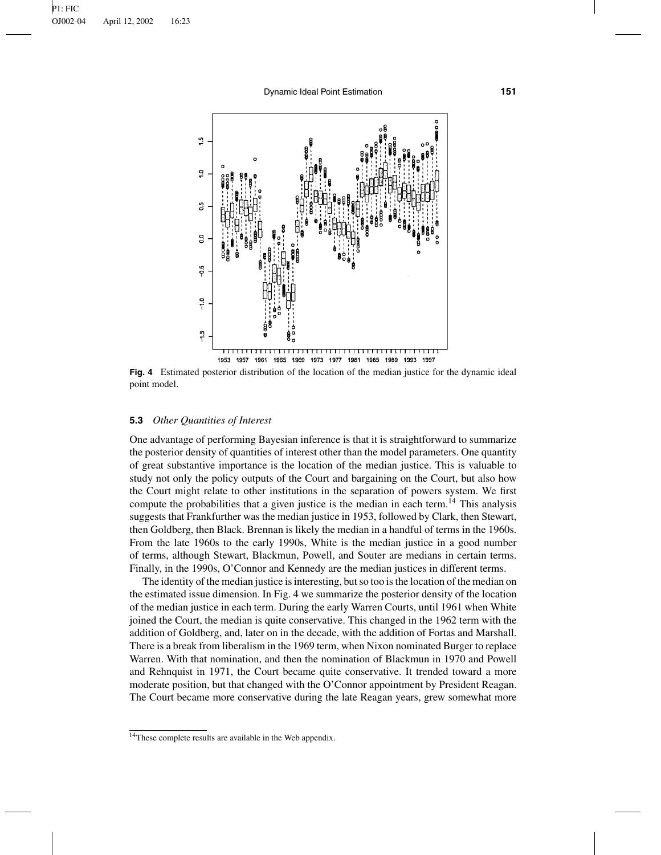

**Fig. 4** Estimated posterior distribution of the location of the median justice for the dynamic ideal point model.

## **5.3** *Other Quantities of Interest*

One advantage of performing Bayesian inference is that it is straightforward to summarize the posterior density of quantities of interest other than the model parameters. One quantity of great substantive importance is the location of the median justice. This is valuable to study not only the policy outputs of the Court and bargaining on the Court, but also how the Court might relate to other institutions in the separation of powers system. We first compute the probabilities that a given justice is the median in each term.<sup>14</sup> This analysis suggests that Frankfurther was the median justice in 1953, followed by Clark, then Stewart, then Goldberg, then Black. Brennan is likely the median in a handful of terms in the 1960s. From the late 1960s to the early 1990s, White is the median justice in a good number of terms, although Stewart, Blackmun, Powell, and Souter are medians in certain terms. Finally, in the 1990s, O'Connor and Kennedy are the median justices in different terms.

The identity of the median justice is interesting, but so too is the location of the median on the estimated issue dimension. In Fig. 4 we summarize the posterior density of the location of the median justice in each term. During the early Warren Courts, until 1961 when White joined the Court, the median is quite conservative. This changed in the 1962 term with the addition of Goldberg, and, later on in the decade, with the addition of Fortas and Marshall. There is a break from liberalism in the 1969 term, when Nixon nominated Burger to replace Warren. With that nomination, and then the nomination of Blackmun in 1970 and Powell and Rehnquist in 1971, the Court became quite conservative. It trended toward a more moderate position, but that changed with the O'Connor appointment by President Reagan. The Court became more conservative during the late Reagan years, grew somewhat more

<sup>14</sup>These complete results are available in the Web appendix.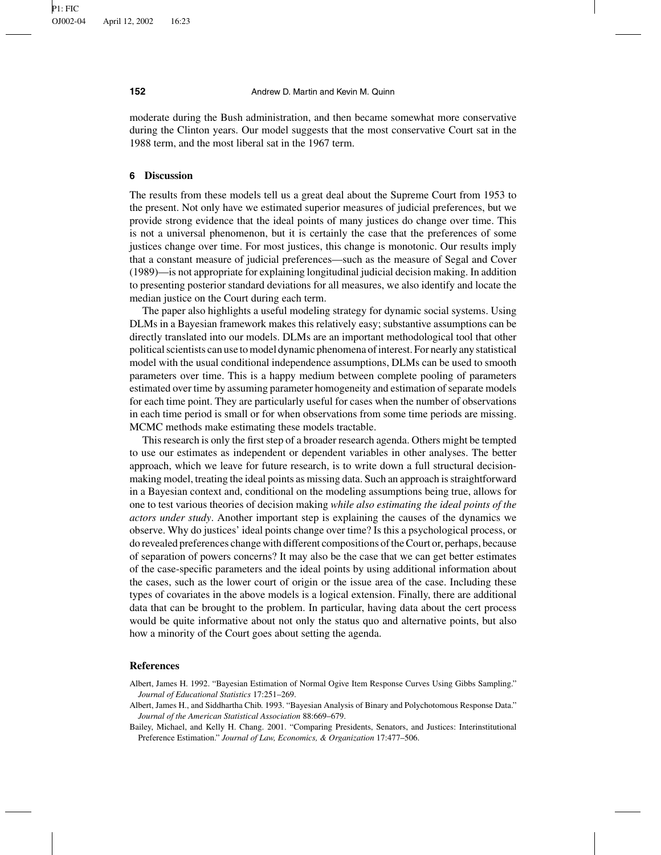moderate during the Bush administration, and then became somewhat more conservative during the Clinton years. Our model suggests that the most conservative Court sat in the 1988 term, and the most liberal sat in the 1967 term.

#### **6 Discussion**

The results from these models tell us a great deal about the Supreme Court from 1953 to the present. Not only have we estimated superior measures of judicial preferences, but we provide strong evidence that the ideal points of many justices do change over time. This is not a universal phenomenon, but it is certainly the case that the preferences of some justices change over time. For most justices, this change is monotonic. Our results imply that a constant measure of judicial preferences—such as the measure of Segal and Cover (1989)—is not appropriate for explaining longitudinal judicial decision making. In addition to presenting posterior standard deviations for all measures, we also identify and locate the median justice on the Court during each term.

The paper also highlights a useful modeling strategy for dynamic social systems. Using DLMs in a Bayesian framework makes this relatively easy; substantive assumptions can be directly translated into our models. DLMs are an important methodological tool that other political scientists can use to model dynamic phenomena of interest. For nearly any statistical model with the usual conditional independence assumptions, DLMs can be used to smooth parameters over time. This is a happy medium between complete pooling of parameters estimated over time by assuming parameter homogeneity and estimation of separate models for each time point. They are particularly useful for cases when the number of observations in each time period is small or for when observations from some time periods are missing. MCMC methods make estimating these models tractable.

This research is only the first step of a broader research agenda. Others might be tempted to use our estimates as independent or dependent variables in other analyses. The better approach, which we leave for future research, is to write down a full structural decisionmaking model, treating the ideal points as missing data. Such an approach is straightforward in a Bayesian context and, conditional on the modeling assumptions being true, allows for one to test various theories of decision making *while also estimating the ideal points of the actors under study*. Another important step is explaining the causes of the dynamics we observe. Why do justices' ideal points change over time? Is this a psychological process, or do revealed preferences change with different compositions of the Court or, perhaps, because of separation of powers concerns? It may also be the case that we can get better estimates of the case-specific parameters and the ideal points by using additional information about the cases, such as the lower court of origin or the issue area of the case. Including these types of covariates in the above models is a logical extension. Finally, there are additional data that can be brought to the problem. In particular, having data about the cert process would be quite informative about not only the status quo and alternative points, but also how a minority of the Court goes about setting the agenda.

## **References**

Albert, James H. 1992. "Bayesian Estimation of Normal Ogive Item Response Curves Using Gibbs Sampling." *Journal of Educational Statistics* 17:251–269.

Albert, James H., and Siddhartha Chib. 1993. "Bayesian Analysis of Binary and Polychotomous Response Data." *Journal of the American Statistical Association* 88:669–679.

Bailey, Michael, and Kelly H. Chang. 2001. "Comparing Presidents, Senators, and Justices: Interinstitutional Preference Estimation." *Journal of Law, Economics, & Organization* 17:477–506.